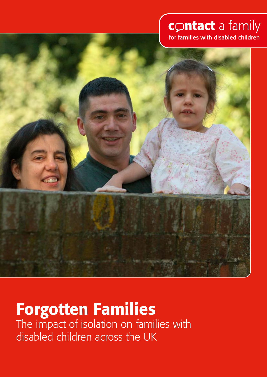# contact a family for families with disabled children



# Forgotten Families

The impact of isolation on families with disabled children across the UK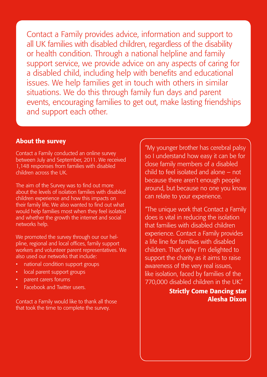Contact a Family provides advice, information and support to all UK families with disabled children, regardless of the disability or health condition. Through a national helpline and family support service, we provide advice on any aspects of caring for a disabled child, including help with benefits and educational issues. We help families get in touch with others in similar situations. We do this through family fun days and parent events, encouraging families to get out, make lasting friendships and support each other.

#### About the survey

Contact a Family conducted an online survey between July and September, 2011. We received 1,148 responses from families with disabled children across the UK.

The aim of the Survey was to find out more about the levels of isolation families with disabled children experience and how this impacts on their family life. We also wanted to find out what would help families most when they feel isolated and whether the growth the internet and social networks help.

We promoted the survey through our our helpline, regional and local offices, family support workers and volunteer parent representatives. We also used our networks that include:

- national condition support groups
- local parent support groups
- • parent carers forums
- Facebook and Twitter users.

Contact a Family would like to thank all those that took the time to complete the survey.

"My younger brother has cerebral palsy so I understand how easy it can be for close family members of a disabled child to feel isolated and alone – not because there aren't enough people around, but because no one you know can relate to your experience.

"The unique work that Contact a Family does is vital in reducing the isolation that families with disabled children experience. Contact a Family provides a life line for families with disabled children. That's why I'm delighted to support the charity as it aims to raise awareness of the very real issues, like isolation, faced by families of the 770,000 disabled children in the UK."

## Strictly Come Dancing star Alesha Dixon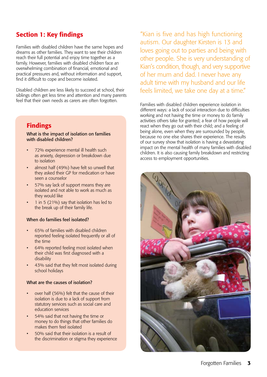## Section 1: Key findings

Families with disabled children have the same hopes and dreams as other families. They want to see their children reach their full potential and enjoy time together as a family. However, families with disabled children face an overwhelming combination of financial, emotional and practical pressures and, without information and support, find it difficult to cope and become isolated.

Disabled children are less likely to succeed at school, their siblings often get less time and attention and many parents feel that their own needs as carers are often forgotten.

## Findings

#### What is the impact of isolation on families with disabled children?

- 72% experience mental ill health such as anxiety, depression or breakdown due to isolation
- almost half (49%) have felt so unwell that they asked their GP for medication or have seen a counselor
- 57% say lack of support means they are isolated and not able to work as much as they would like
- 1 in 5 (21%) say that isolation has led to the break up of their family life.

#### When do families feel isolated?

- 65% of families with disabled children reported feeling isolated frequently or all of the time
- 64% reported feeling most isolated when their child was first diagnosed with a disability
- 43% said that they felt most isolated during school holidays

#### What are the causes of isolation?

- over half (56%) felt that the cause of their isolation is due to a lack of support from statutory services such as social care and education services
- 54% said that not having the time or money to do things that other families do makes them feel isolated
- 50% said that their isolation is a result of the discrimination or stigma they experience

"Kian is five and has high functioning autism. Our daughter Kirsten is 13 and loves going out to parties and being with other people. She is very understanding of Kian's condition, though, and very supportive of her mum and dad. I never have any adult time with my husband and our life feels limited, we take one day at a time."

Families with disabled children experience isolation in different ways: a lack of social interaction due to difficulties working and not having the time or money to do family activities others take for granted; a fear of how people will react when they go out with their child; and a feeling of being alone, even when they are surrounded by people, because no one else shares their experience. The results of our survey show that isolation is having a devastating impact on the mental health of many families with disabled children. It is also causing family breakdown and restricting access to employment opportunities.

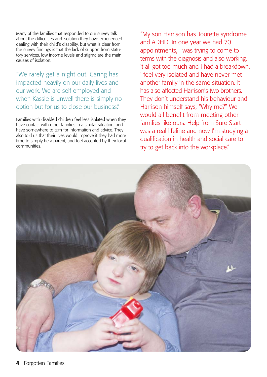Many of the families that responded to our survey talk about the difficulties and isolation they have experienced dealing with their child's disability, but what is clear from the survey findings is that the lack of support from statutory services, low income levels and stigma are the main causes of isolation.

"We rarely get a night out. Caring has impacted heavily on our daily lives and our work. We are self employed and when Kassie is unwell there is simply no option but for us to close our business."

Families with disabled children feel less isolated when they have contact with other families in a similar situation, and have somewhere to turn for information and advice. They also told us that their lives would improve if they had more time to simply be a parent, and feel accepted by their local communities.

"My son Harrison has Tourette syndrome and ADHD. In one year we had 70 appointments, I was trying to come to terms with the diagnosis and also working. It all got too much and I had a breakdown. I feel very isolated and have never met another family in the same situation. It has also affected Harrison's two brothers. They don't understand his behaviour and Harrison himself says, "Why me?" We would all benefit from meeting other families like ours. Help from Sure Start was a real lifeline and now I'm studying a qualification in health and social care to try to get back into the workplace."

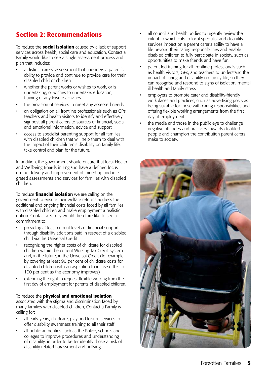## Section 2: Recommendations

To reduce the **social isolation** caused by a lack of support services across health, social care and education, Contact a Family would like to see a single assessment process and plan that includes:

- a distinct carers' assessment that considers a parent's ability to provide and continue to provide care for their disabled child or children
- whether the parent works or wishes to work, or is undertaking, or wishes to undertake, education, training or any leisure activities
- the provision of services to meet any assessed needs
- an obligation on all frontline professionals such as GPs, teachers and health visitors to identify and effectively signpost all parent carers to sources of financial, social and emotional information, advice and support
- access to specialist parenting support for all families with disabled children that will help them to deal with the impact of their children's disability on family life, take control and plan for the future.

In addition, the government should ensure that local Health and Wellbeing Boards in England have a defined focus on the delivery and improvement of joined-up and integrated assessments and services for families with disabled children.

To reduce **financial isolation** we are calling on the government to ensure their welfare reforms address the additional and ongoing financial costs faced by all families with disabled children and make employment a realistic option. Contact a Family would therefore like to see a commitment to:

- providing at least current levels of financial support through disability additions paid in respect of a disabled child via the Universal Credit
- recognizing the higher costs of childcare for disabled children within the current Working Tax Credit system and, in the future, in the Universal Credit (for example, by covering at least 90 per cent of childcare costs for disabled children with an aspiration to increase this to 100 per cent as the economy improves)
- extending the right to request flexible working from the first day of employment for parents of disabled children.

To reduce the physical and emotional isolation associated with the stigma and discrimination faced by many families with disabled children, Contact a Family is calling for:

- all early years, childcare, play and leisure services to offer disability awareness training to all their staff
- all public authorities such as the Police, schools and colleges to improve procedures and understanding of disability, in order to better identify those at risk of disability-related harassment and bullying
- all council and health bodies to urgently review the extent to which cuts to local specialist and disability services impact on a parent carer's ability to have a life beyond their caring responsibilities and enable disabled children to fully participate in society, such as opportunities to make friends and have fun
- parent-led training for all frontline professionals such as health visitors, GPs, and teachers to understand the impact of caring and disability on family life, so they can recognise and respond to signs of isolation, mental ill health and family stress
- employers to promote carer and disability-friendly workplaces and practices, such as advertising posts as being suitable for those with caring responsibilities and offering flexible working arrangements from the first day of employment
- the media and those in the public eye to challenge negative attitudes and practices towards disabled people and champion the contribution parent carers make to society.

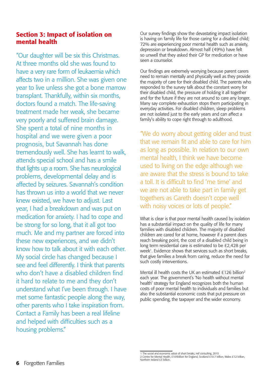## Section 3: Impact of isolation on mental health

"Our daughter will be six this Christmas. At three months old she was found to have a very rare form of leukaemia which affects two in a million. She was given one year to live unless she got a bone marrow transplant. Thankfully, within six months, doctors found a match. The life-saving treatment made her weak, she became very poorly and suffered brain damage. She spent a total of nine months in hospital and we were given a poor prognosis, but Savannah has done tremendously well. She has learnt to walk, attends special school and has a smile that lights up a room. She has neurological problems, developmental delay and is affected by seizures. Savannah's condition has thrown us into a world that we never knew existed, we have to adjust. Last year, I had a breakdown and was put on medication for anxiety. I had to cope and be strong for so long, that it all got too much. Me and my partner are forced into these new experiences, and we didn't know how to talk about it with each other. My social circle has changed because I see and feel differently. I think that parents who don't have a disabled children find it hard to relate to me and they don't understand what I've been through. I have met some fantastic people along the way, other parents who I take inspiration from. Contact a Family has been a real lifeline and helped with difficulties such as a housing problems."

Our survey findings show the devastating impact isolation is having on family life for those caring for a disabled child; 72% are experiencing poor mental health such as anxiety, depression or breakdown. Almost half (49%) have felt so unwell that they asked their GP for medication or have seen a counselor.

Our findings are extremely worrying because parent carers need to remain mentally and physically well as they provide the majority of care for their disabled child. The parents who responded to the survey talk about the constant worry for their disabled child, the pressure of holding it all together and for the future if they are not around to care any longer. Many say complete exhaustion stops them participating in everyday activities. For disabled children, sleep problems are not isolated just to the early years and can affect a family's ability to cope right through to adulthood.

"We do worry about getting older and trust that we remain fit and able to care for him as long as possible. In relation to our own mental health, I think we have become used to living on the edge although we are aware that the stress is bound to take a toll. It is difficult to find 'me time' and we are not able to take part in family get togethers as Gareth doesn't cope well with noisy voices or lots of people."

What is clear is that poor mental health caused by isolation has a substantial impact on the quality of life for many families with disabled children. The majority of disabled children are cared for at home, however if a parent does reach breaking point, the cost of a disabled child being in long term residential care is estimated to be £2,428 per week<sup>1</sup>. Evidence shows that services such as short breaks, that give families a break from caring, reduce the need for such costly interventions.

Mental ill health costs the UK an estimated £126 billion2 each year. The government's 'No health without mental health' strategy for England recognizes both the human costs of poor mental health to individuals and families but also the substantial economic costs that put pressure on public spending, the taxpayer and the wider economy.

<sup>1</sup> The social and economic value of short breaks, nef consulting, 2010 2 Centre for Mental Health, £105billion for England, Scotland £10.7 billion, Wales £7.2 billion, Northern Ireland £3 billion.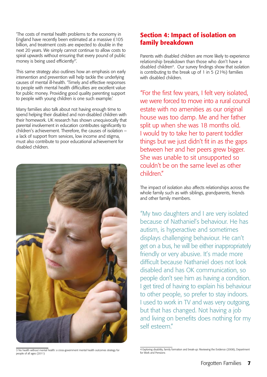'The costs of mental health problems to the economy in England have recently been estimated at a massive £105 billion, and treatment costs are expected to double in the next 20 years. We simply cannot continue to allow costs to spiral upwards without ensuring that every pound of public money is being used efficiently<sup>3'</sup>.

This same strategy also outlines how an emphasis on early intervention and prevention will help tackle the underlying causes of mental ill-health. 'Timely and effective responses to people with mental health difficulties are excellent value for public money. Providing good quality parenting support to people with young children is one such example.'

Many families also talk about not having enough time to spend helping their disabled and non-disabled children with their homework. UK research has shown unequivocally that parental involvement in education contributes significantly to children's achievement. Therefore, the causes of isolation – a lack of support from services, low income and stigma, must also contribute to poor educational achievement for disabled children.



3 No health without mental health: a cross-government mental health outcomes strategy for people of all ages (2011)

## Section 4: Impact of isolation on family breakdown

Parents with disabled children are more likely to experience relationship breakdown than those who don't have a disabled children<sup>4</sup>. Our survey findings show that isolation is contributing to the break up of 1 in  $\frac{1}{2}$  (21%) families with disabled children.

"For the first few years, I felt very isolated, we were forced to move into a rural council estate with no amenities as our original house was too damp. Me and her father split up when she was 18 months old. I would try to take her to parent toddler things but we just didn't fit in as the gaps between her and her peers grew bigger. She was unable to sit unsupported so couldn't be on the same level as other children."

The impact of isolation also affects relationships across the whole family such as with siblings, grandparents, friends and other family members.

"My two daughters and I are very isolated because of Nathaniel's behaviour. He has autism, is hyperactive and sometimes displays challenging behaviour. He can't get on a bus, he will be either inappropriately friendly or very abusive. It's made more difficult because Nathaniel does not look disabled and has OK communication, so people don't see him as having a condition. I get tired of having to explain his behaviour to other people, so prefer to stay indoors. I used to work in TV and was very outgoing, but that has changed. Not having a job and living on benefits does nothing for my self esteem"

<sup>4</sup> Exploring disability, family formation and break-up: Reviewing the Evidence (2008), Department for Work and Pensions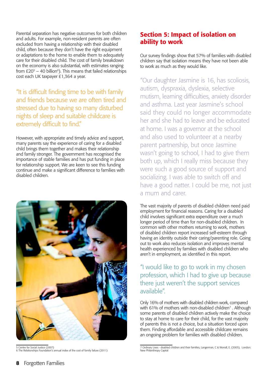Parental separation has negative outcomes for both children and adults. For example, non-resident parents are often excluded from having a relationship with their disabled child, often because they don't have the right equipment or adaptations to the home to enable them to adequately care for their disabled child. The cost of family breakdown on the economy is also substantial, with estimates ranging from  $£20^5 - 40$  billion<sup>6</sup>). This means that failed relationships cost each UK taxpayer £1,364 a year.

"It is difficult finding time to be with family and friends because we are often tired and stressed due to having so many disturbed nights of sleep and suitable childcare is extremely difficult to find."

However, with appropriate and timely advice and support, many parents say the experience of caring for a disabled child brings them together and makes their relationship and family stronger. The government has recognised the importance of stable families and has put funding in place for relationship support. We are keen to see this funding continue and make a significant difference to families with disabled children.



5 Centre for Social Justice (2007) 6 The Relationships Foundation's annual index of the cost of family failure (2011)

## Section 5: Impact of isolation on ability to work

Our survey findings show that 57% of families with disabled children say that isolation means they have not been able to work as much as they would like.

"Our daughter Jasmine is 16, has scoliosis, autism, dyspraxia, dyslexia, selective mutism, learning difficulties, anxiety disorder and asthma. Last year Jasmine's school said they could no longer accommodate her and she had to leave and be educated at home. I was a governor at the school and also used to volunteer at a nearby parent partnership, but once Jasmine wasn't going to school, I had to give them both up, which I really miss because they were such a good source of support and socializing. I was able to switch off and have a good natter. I could be me, not just a mum and carer.

The vast majority of parents of disabled children need paid employment for financial reasons. Caring for a disabled child involves significant extra expenditure over a much longer period of time than for non-disabled children. In common with other mothers returning to work, mothers of disabled children report increased self-esteem through having an identity outside their caring/parenting role. Going out to work also reduces isolation and improves mental health experienced by families with disabled children who aren't in employment, as identified in this report.

"I would like to go to work in my chosen profession, which I had to give up because there just weren't the support services available".

Only 16% of mothers with disabled children work, compared with 61% of mothers with non-disabled children<sup>7</sup>. Although some parents of disabled children actively make the choice to stay at home to care for their child, for the vast majority of parents this is not a choice, but a situation forced upon them. Finding affordable and accessible childcare remains an ongoing problem for families with disabled children.

<sup>7</sup> Ordinary Lives - disabled children and their families, Langerman, C & Worrall, E. (2005), London: New Philanthropy Capital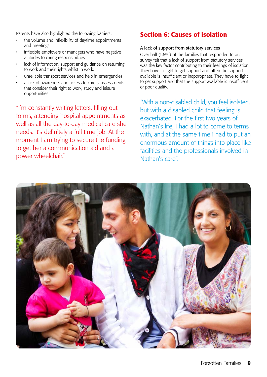Parents have also highlighted the following barriers:

- the volume and inflexibility of daytime appointments and meetings
- inflexible employers or managers who have negative attitudes to caring responsibilities
- lack of information, support and guidance on returning to work and their rights whilst in work.
- unreliable transport services and help in emergencies
- a lack of awareness and access to carers' assessments that consider their right to work, study and leisure opportunities.

"I'm constantly writing letters, filling out forms, attending hospital appointments as well as all the day-to-day medical care she needs. It's definitely a full time job. At the moment I am trying to secure the funding to get her a communication aid and a power wheelchair."

## Section 6: Causes of isolation

#### A lack of support from statutory services

Over half (56%) of the families that responded to our survey felt that a lack of support from statutory services was the key factor contributing to their feelings of isolation. They have to fight to get support and often the support available is insufficient or inappropriate. They have to fight to get support and that the support available is insufficient or poor quality.

"With a non-disabled child, you feel isolated, but with a disabled child that feeling is exacerbated. For the first two years of Nathan's life, I had a lot to come to terms with, and at the same time I had to put an enormous amount of things into place like facilities and the professionals involved in Nathan's care".

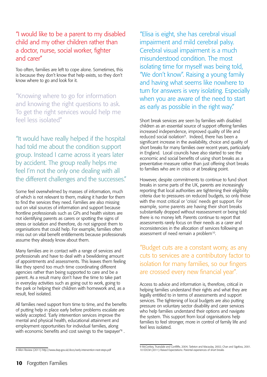"I would like to be a parent to my disabled child and my other children rather than a doctor, nurse, social worker, fighter and carer"

Too often, families are left to cope alone. Sometimes, this is because they don't know that help exists, so they don't know where to go and look for it.

"Knowing where to go for information and knowing the right questions to ask. To get the right services would help me feel less isolated"

"It would have really helped if the hospital had told me about the condition support group. Instead I came across it years later by accident. The group really helps me feel I'm not the only one dealing with all the different challenges and the successes."

Some feel overwhelmed by masses of information, much of which is not relevant to them, making it harder for them to find the services they need. Families are also missing out on vital sources of information and support because frontline professionals such as GPs and health visitors are not identifying parents as carers or spotting the signs of stress or isolation and therefore, do not signpost them to organisations that could help. For example, families often miss out on vital benefit entitlements because professionals assume they already know about them.

Many families are in contact with a range of services and professionals and have to deal with a bewildering amount of appointments and assessments. This leaves them feeling like they spend too much time coordinating different agencies rather than being supported to care and be a parent. As a result many don't have the time to take part in everyday activities such as going out to work, going to the park or helping their children with homework and, as a result, feel isolated.

All families need support from time to time, and the benefits of putting help in place early before problems escalate are widely accepted. 'Early intervention services improve the mental and physical health, educational attainment and employment opportunities for individual families, along with economic benefits and cost savings to the taxpayer'8 .

"Elisa is eight, she has cerebral visual impairment and mild cerebral palsy. Cerebral visual impairment is a much misunderstood condition. The most isolating time for myself was being told, "We don't know". Raising a young family and having what seems like nowhere to turn for answers is very isolating. Especially when you are aware of the need to start as early as possible in the right way."

Short break services are seen by families with disabled children as an essential source of support offering families increased independence, improved quality of life and reduced social isolation<sup>9</sup>. Indeed, there has been a significant increase in the availability, choice and quality of short breaks for many families over recent years, particularly in England. Local councils have also started to see the economic and social benefits of using short breaks as a preventative measure rather than just offering short breaks to families who are in crisis or at breaking point.

However, despite commitments to continue to fund short breaks in some parts of the UK, parents are increasingly reporting that local authorities are tightening their eligibility criteria due to pressures on reduced budgets, so only those with the most critical or 'crisis' needs get support. For example, some parents are having their short breaks substantially dropped without reassessment or being told there is no money left. Parents continue to report that assessments rarely focus on their needs as a carer and inconsistencies in the allocation of services following an assessment of need remain a problem<sup>10</sup>.

"Budget cuts are a constant worry, as any cuts to services are a contributory factor to isolation for many families, so our fingers are crossed every new financial year".

Access to advice and information is, therefore, critical in helping families understand their rights and what they are legally entitled to in terms of assessments and support services. The tightening of local budgets are also putting pressure on voluntary sector disability and carer services who help families understand their options and navigate the system. This support from local organisations help families to feel stronger, more in control of family life and feel less isolated.

<sup>8</sup> Allen Review (2011) http://www.dwp.gov.uk/docs/early-intervention-next-steps.pdf

<sup>9</sup> McConkey, Truesdale and Confliffe, 2004; Tarleton and Macaulay, 2002; Chan and Sigafoss, 2001. 10 EDCM (2011) Raised Expectations: Parental experiences of short breaks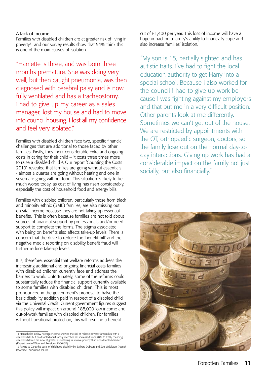#### A lack of income

Families with disabled children are at greater risk of living in poverty<sup>11</sup> and our survey results show that 54% think this is one of the main causes of isolation.

"Harriette is three, and was born three months premature. She was doing very well, but then caught pneumonia, was then diagnosed with cerebral palsy and is now fully ventilated and has a tracheostomy. I had to give up my career as a sales manager, lost my house and had to move into council housing. I lost all my confidence and feel very isolated."

Families with disabled children face two, specific financial challenges that are additional to those faced by other families. Firstly, they incur considerable extra and ongoing costs in caring for their child – it costs three times more to raise a disabled child<sup>12</sup>. Our report 'Counting the Costs 2010', revealed that families are going without essentials - almost a quarter are going without heating and one in seven are going without food. This situation is likely to be much worse today, as cost of living has risen considerably, especially the cost of household food and energy bills.

Families with disabled children, particularly those from black and minority ethnic (BME) families, are also missing out on vital income because they are not taking up essential benefits. This is often because families are not told about sources of financial support by professionals and/or need support to complete the forms. The stigma associated with being on benefits also affects take-up levels. There is concern that the drive to reduce the 'benefit bill' and the negative media reporting on disability benefit fraud will further reduce take-up levels.

It is, therefore, essential that welfare reforms address the increasing additional and ongoing financial costs families with disabled children currently face and address the barriers to work. Unfortunately, some of the reforms could substantially reduce the financial support currently available to some families with disabled children. This is most pronounced in the government's proposal to halve the basic disability addition paid in respect of a disabled child via the Universal Credit. Current government figures suggest this policy will impact on around 188,000 low income and out-of-work families with disabled children. For families without transitional protection, this will result in a benefit

cut of £1,400 per year. This loss of income will have a huge impact on a family's ability to financially cope and also increase families' isolation.

"My son is 15, partially sighted and has autistic traits. I've had to fight the local education authority to get Harry into a special school. Because I also worked for the council I had to give up work because I was fighting against my employers and that put me in a very difficult position. Other parents look at me differently. Sometimes we can't get out of the house. We are restricted by appointments with the OT, orthopaedic surgeon, doctors, so the family lose out on the normal day-today interactions. Giving up work has had a considerable impact on the family not just socially, but also financially."



<sup>11</sup> Households Below Average Income showed the risk of relative poverty for families with a disabled child but no disabled adult family member has increased from 20% to 25%, meaning disabled children are now at greater risk of living in relative poverty than non-disabled children. (Department of Work and Pensions 2006/07)

<sup>12</sup> Paying to Care: the costs of childhood disability by Barbara Dobson and Sue Middleton (Joseph Rowntree Foundation 1998)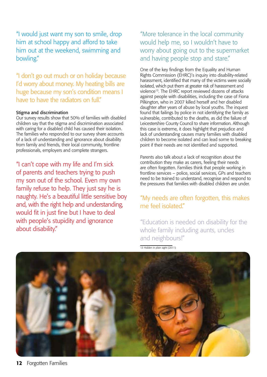"I would just want my son to smile, drop him at school happy and afford to take him out at the weekend, swimming and bowling."

"I don't go out much or on holiday because I'd worry about money. My heating bills are huge because my son's condition means I have to have the radiators on full"

#### Stigma and discrimination

Our survey results show that 50% of families with disabled children say that the stigma and discrimination associated with caring for a disabled child has caused their isolation. The families who responded to our survey share accounts of a lack of understanding and ignorance about disability from family and friends, their local community, frontline professionals, employers and complete strangers.

"I can't cope with my life and I'm sick of parents and teachers trying to push my son out of the school. Even my own family refuse to help. They just say he is naughty. He's a beautiful little sensitive boy and, with the right help and understanding, would fit in just fine but I have to deal with people's stupidity and ignorance about disability."

"More tolerance in the local community would help me, so I wouldn't have to worry about going out to the supermarket and having people stop and stare."

One of the key findings from the Equality and Human Rights Commission (EHRC)'s inquiry into disability-related harassment, identified that many of the victims were socially isolated, which put them at greater risk of harassment and violence13. The EHRC report reviewed dozens of attacks against people with disabilities, including the case of Fiona Pilkington, who in 2007 killed herself and her disabled daughter after years of abuse by local youths. The inquest found that failings by police in not identifying the family as vulnerable, contributed to the deaths, as did the failure of Leicestershire County Council to share information. Although this case is extreme, it does highlight that prejudice and lack of understanding causes many families with disabled children to become isolated and can lead some to breaking point if their needs are not identified and supported.

Parents also talk about a lack of recognition about the contribution they make as carers, feeling their needs are often forgotten. Families think that people working in frontline services – police, social services, GPs and teachers need to be trained to understand, recognise and respond to the pressures that families with disabled children are under.

## "My needs are often forgotten, this makes me feel isolated"

"Education is needed on disability for the whole family including aunts, uncles and neighbours!"

13 Hidden in plain sight (2011)

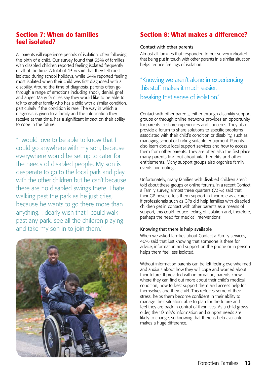## Section 7: When do families feel isolated?

All parents will experience periods of isolation, often following the birth of a child. Our survey found that 65% of families with disabled children reported feeling isolated frequently or all of the time. A total of 43% said that they felt most isolated during school holidays, while 64% reported feeling most isolated when their child was first diagnosed with a disability. Around the time of diagnosis, parents often go through a range of emotions including shock, denial, grief and anger. Many families say they would like to be able to talk to another family who has a child with a similar condition, particularly if the condition is rare. The way in which a diagnosis is given to a family and the information they receive at that time, has a significant impact on their ability to cope in the future.

"I would love to be able to know that I could go anywhere with my son, because everywhere would be set up to cater for the needs of disabled people. My son is desperate to go to the local park and play with the other children but he can't because there are no disabled swings there. I hate walking past the park as he just cries, because he wants to go there more than anything. I dearly wish that I could walk past any park, see all the children playing and take my son in to join them."



## Section 8: What makes a difference?

#### Contact with other parents

Almost all families that responded to our survey indicated that being put in touch with other parents in a similar situation helps reduce feelings of isolation.

"Knowing we aren't alone in experiencing this stuff makes it much easier, breaking that sense of isolation."

Contact with other parents, either through disability support groups or through online networks provides an opportunity for parents to share experiences and concerns. They also provide a forum to share solutions to specific problems associated with their child's condition or disability, such as managing school or finding suitable equipment. Parents also learn about local support services and how to access them from other parents. They are often also the first place many parents find out about vital benefits and other entitlements. Many support groups also organise family events and outings.

Unfortunately, many families with disabled children aren't told about these groups or online forums. In a recent Contact a Family survey, almost three quarters (73%) said that their GP never offers them support in their role as a carer. If professionals such as GPs did help families with disabled children get in contact with other parents as a means of support, this could reduce feeling of isolation and, therefore, perhaps the need for medical interventions.

#### Knowing that there is help available

When we asked families about Contact a Family services, 40% said that just knowing that someone is there for advice, information and support on the phone or in person helps them feel less isolated.

Without information parents can be left feeling overwhelmed and anxious about how they will cope and worried about their future. If provided with information, parents know where they can find out more about their child's medical condition, how to best support them and access help for themselves and their child. This reduces some of their stress, helps them become confident in their ability to manage their situation, able to plan for the future and feel they are back in control of their lives. As a child grows older, their family's information and support needs are likely to change, so knowing that there is help available makes a huge difference.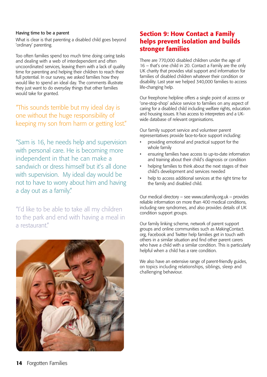#### Having time to be a parent

What is clear is that parenting a disabled child goes beyond 'ordinary' parenting.

Too often families spend too much time doing caring tasks and dealing with a web of interdependent and often uncoordinated services, leaving them with a lack of quality time for parenting and helping their children to reach their full potential. In our survey, we asked families how they would like to spend an ideal day. The comments illustrate they just want to do everyday things that other families would take for granted.

## "This sounds terrible but my ideal day is one without the huge responsibility of keeping my son from harm or getting lost."

"Sam is 16, he needs help and supervision with personal care. He is becoming more independent in that he can make a sandwich or dress himself but it's all done with supervision. My ideal day would be not to have to worry about him and having a day out as a family."

"I'd like to be able to take all my children to the park and end with having a meal in a restaurant."



## Section 9: How Contact a Family helps prevent isolation and builds stronger families

There are 770,000 disabled children under the age of 16 – that's one child in 20. Contact a Family are the only UK charity that provides vital support and information for families of disabled children whatever their condition or disability. Last year we helped 340,000 families to access life-changing help.

Our freephone helpline offers a single point of access or 'one-stop-shop' advice service to families on any aspect of caring for a disabled child including welfare rights, education and housing issues. It has access to interpreters and a UKwide database of relevant organisations.

Our family support service and volunteer parent representatives provide face-to-face support including:

- providing emotional and practical support for the whole family
- ensuring families have access to up-to-date information and training about their child's diagnosis or condition
- helping families to think about the next stages of their child's development and services needed
- help to access additional services at the right time for the family and disabled child.

Our medical directory – see www.cafamily.org.uk – provides reliable information on more than 400 medical conditions, including rare syndromes, and also provides details of UK condition support groups.

Our family linking scheme, network of parent support groups and online communities such as MakingContact. org, Facebook and Twitter help families get in touch with others in a similar situation and find other parent carers who have a child with a similar condition. This is particularly helpful when a child has a rare condition.

We also have an extensive range of parent-friendly guides, on topics including relationships, siblings, sleep and challenging behaviour.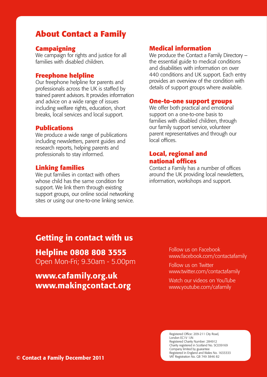## **About Contact a Family**

#### **Campaigning**

We campaign for rights and justice for all families with disabled children.

#### **Freephone helpline**

Our freephone helpline for parents and professionals across the UK is staffed by trained parent advisors. It provides information and advice on a wide range of issues including welfare rights, education, short breaks, local services and local support.

#### **Publications**

We produce a wide range of publications including newsletters, parent guides and research reports, helping parents and professionals to stay informed.

#### **Linking families**

We put families in contact with others whose child has the same condition for support. We link them through existing support groups, our online social networking sites or using our one-to-one linking service.

#### **Medical information**

We produce the Contact a Family Directory the essential guide to medical conditions and disabilities with information on over 440 conditions and UK support. Each entry provides an overview of the condition with details of support groups where available.

#### **One-to-one support groups**

We offer both practical and emotional support on a one-to-one basis to families with disabled children, through our family support service, volunteer parent representatives and through our local offices.

### **Local, regional and national offices**

Contact a Family has a number of offices around the UK providing local newsletters, information, workshops and support.

## Getting in contact with us

Helpline 0808 808 3555

Open Mon-Fri; 9.30am - 5.00pm

www.cafamily.org.uk www.makingcontact.org Follow us on Facebook www.facebook.com/contactafamily

Follow us on Twitter www.twitter.com/contactafamily

Watch our videos on YouTube www.youtube.com/cafamily

Registered Office: 209-211 City Road, London EC1V 1JN Registered Charity Number: 284912 Charity registered in Scotland No. SC039169 Company limited by guarantee Registered in England and Wales No. 1633333 VAT Registration No. GB 749 3846 82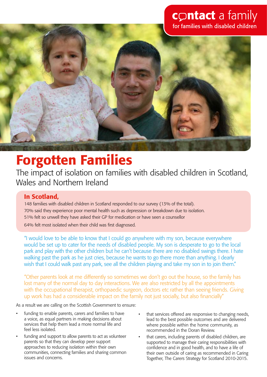## contact a family for families with disabled children



# Forgotten Families

The impact of isolation on families with disabled children in Scotland, Wales and Northern Ireland

## In Scotland,

148 families with disabled children in Scotland responded to our survey (13% of the total). 70% said they experience poor mental health such as depression or breakdown due to isolation. 51% felt so unwell they have asked their GP for medication or have seen a counsellor 64% felt most isolated when their child was first diagnosed.

"I would love to be able to know that I could go anywhere with my son, because everywhere would be set up to cater for the needs of disabled people. My son is desperate to go to the local park and play with the other children but he can't because there are no disabled swings there. I hate walking past the park as he just cries, because he wants to go there more than anything. I dearly wish that I could walk past any park, see all the children playing and take my son in to join them."

"Other parents look at me differently so sometimes we don't go out the house, so the family has lost many of the normal day to day interactions. We are also restricted by all the appointments with the occupational therapist, orthopaedic surgeon, doctors etc rather than seeing friends. Giving up work has had a considerable impact on the family not just socially, but also financially"

As a result we are calling on the Scottish Government to ensure:

- funding to enable parents, carers and families to have a voice, as equal partners in making decisions about services that help them lead a more normal life and feel less isolated.
- funding and support to allow parents to act as volunteer parents so that they can develop peer support approaches to reducing isolation within their own communities, connecting families and sharing common issues and concerns.
- that services offered are responsive to changing needs, lead to the best possible outcomes and are delivered where possible within the home community, as recommended in the Doran Review.
- that carers, including parents of disabled children, are supported to manage their caring responsibilities with confidence and in good health, and to have a life of their own outside of caring as recommended in Caring Together, The Carers Strategy for Scotland 2010-2015.